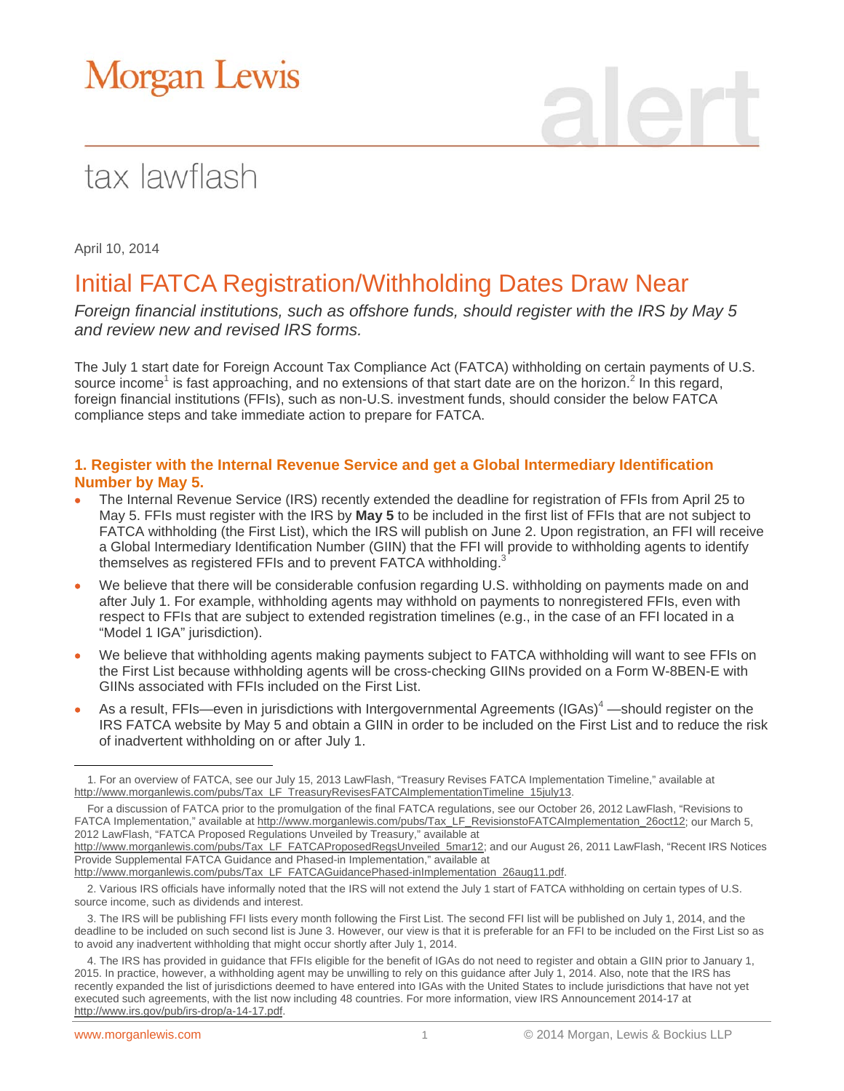# Morgan Lewis

## tax lawflash

April 10, 2014

### Initial FATCA Registration/Withholding Dates Draw Near

*Foreign financial institutions, such as offshore funds, should register with the IRS by May 5 and review new and revised IRS forms.*

The July 1 start date for Foreign Account Tax Compliance Act (FATCA) withholding on certain payments of U.S. source income<sup>1</sup> is fast approaching, and no extensions of that start date are on the horizon.<sup>2</sup> In this regard, foreign financial institutions (FFIs), such as non-U.S. investment funds, should consider the below FATCA compliance steps and take immediate action to prepare for FATCA.

#### **1. Register with the Internal Revenue Service and get a Global Intermediary Identification Number by May 5.**

- The Internal Revenue Service (IRS) recently extended the deadline for registration of FFIs from April 25 to May 5. FFIs must register with the IRS by **May 5** to be included in the first list of FFIs that are not subject to FATCA withholding (the First List), which the IRS will publish on June 2. Upon registration, an FFI will receive a Global Intermediary Identification Number (GIIN) that the FFI will provide to withholding agents to identify themselves as registered FFIs and to prevent FATCA withholding.<sup>3</sup>
- We believe that there will be considerable confusion regarding U.S. withholding on payments made on and after July 1. For example, withholding agents may withhold on payments to nonregistered FFIs, even with respect to FFIs that are subject to extended registration timelines (e.g., in the case of an FFI located in a "Model 1 IGA" jurisdiction).
- We believe that withholding agents making payments subject to FATCA withholding will want to see FFIs on the First List because withholding agents will be cross-checking GIINs provided on a Form W-8BEN-E with GIINs associated with FFIs included on the First List.
- As a result, FFIs—even in jurisdictions with Intergovernmental Agreements (IGAs)<sup>4</sup> —should register on the IRS FATCA website by May 5 and obtain a GIIN in order to be included on the First List and to reduce the risk of inadvertent withholding on or after July 1.

[http://www.morganlewis.com/pubs/Tax\\_LF\\_FATCAProposedRegsUnveiled\\_5mar12;](http://www.morganlewis.com/pubs/Tax_LF_FATCAProposedRegsUnveiled_5mar12) and our August 26, 2011 LawFlash, "Recent IRS Notices Provide Supplemental FATCA Guidance and Phased-in Implementation," available at

 $\overline{a}$ 1. For an overview of FATCA, see our July 15, 2013 LawFlash, "Treasury Revises FATCA Implementation Timeline," available at [http://www.morganlewis.com/pubs/Tax\\_LF\\_TreasuryRevisesFATCAImplementationTimeline\\_15july13.](http://www.morganlewis.com/pubs/Tax_LF_TreasuryRevisesFATCAImplementationTimeline_15july13)

For a discussion of FATCA prior to the promulgation of the final FATCA regulations, see our October 26, 2012 LawFlash, "Revisions to FATCA Implementation," available at [http://www.morganlewis.com/pubs/Tax\\_LF\\_RevisionstoFATCAImplementation\\_26oct12](http://www.morganlewis.com/pubs/Tax_LF_RevisionstoFATCAImplementation_26oct12); our March 5, 2012 LawFlash, "FATCA Proposed Regulations Unveiled by Treasury," available at

[http://www.morganlewis.com/pubs/Tax\\_LF\\_FATCAGuidancePhased-inImplementation\\_26aug11.pdf.](http://www.morganlewis.com/pubs/Tax_LF_FATCAGuidancePhased-inImplementation_26aug11.pdf)

<sup>2.</sup> Various IRS officials have informally noted that the IRS will not extend the July 1 start of FATCA withholding on certain types of U.S. source income, such as dividends and interest.

<sup>3.</sup> The IRS will be publishing FFI lists every month following the First List. The second FFI list will be published on July 1, 2014, and the deadline to be included on such second list is June 3. However, our view is that it is preferable for an FFI to be included on the First List so as to avoid any inadvertent withholding that might occur shortly after July 1, 2014.

<sup>4.</sup> The IRS has provided in guidance that FFIs eligible for the benefit of IGAs do not need to register and obtain a GIIN prior to January 1, 2015. In practice, however, a withholding agent may be unwilling to rely on this guidance after July 1, 2014. Also, note that the IRS has recently expanded the list of jurisdictions deemed to have entered into IGAs with the United States to include jurisdictions that have not yet executed such agreements, with the list now including 48 countries. For more information, view IRS Announcement 2014-17 at [http://www.irs.gov/pub/irs-drop/a-14-17.pdf.](http://www.irs.gov/pub/irs-drop/a-14-17.pdf)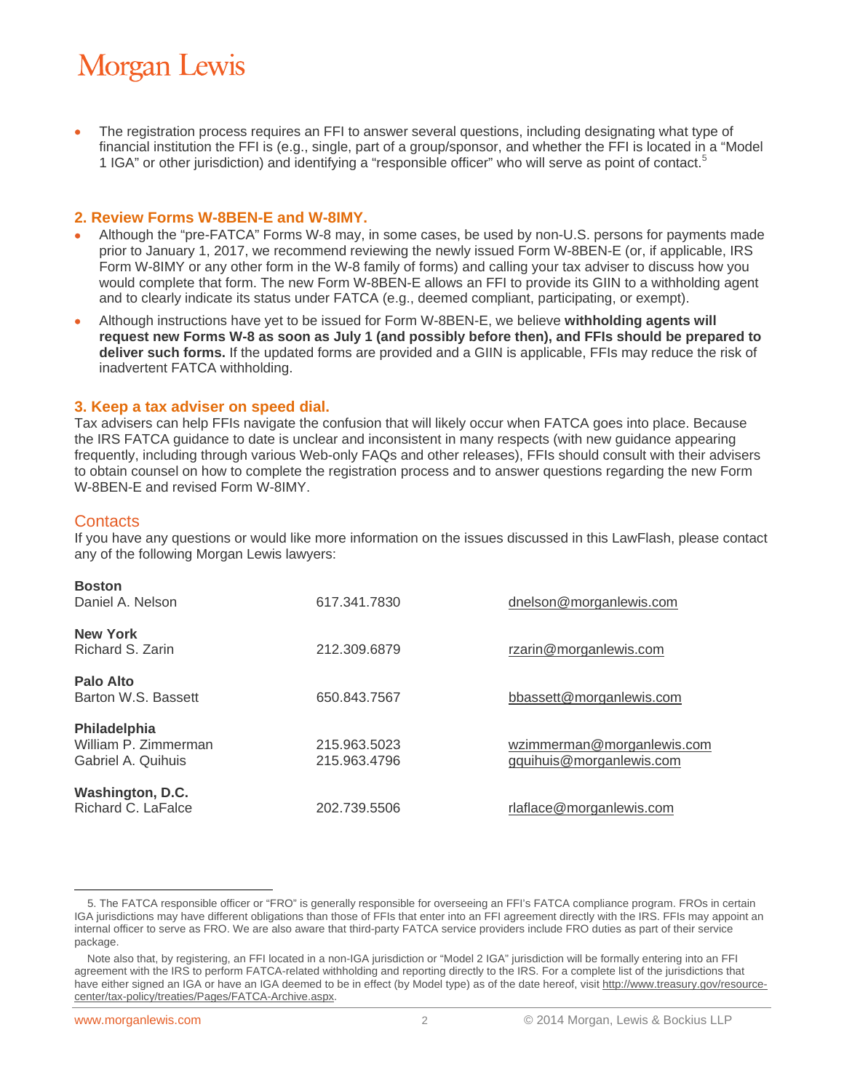## **Morgan Lewis**

 The registration process requires an FFI to answer several questions, including designating what type of financial institution the FFI is (e.g., single, part of a group/sponsor, and whether the FFI is located in a "Model 1 IGA" or other jurisdiction) and identifying a "responsible officer" who will serve as point of contact.<sup>5</sup>

#### **2. Review Forms W-8BEN-E and W-8IMY.**

- Although the "pre-FATCA" Forms W-8 may, in some cases, be used by non-U.S. persons for payments made prior to January 1, 2017, we recommend reviewing the newly issued Form W-8BEN-E (or, if applicable, IRS Form W-8IMY or any other form in the W-8 family of forms) and calling your tax adviser to discuss how you would complete that form. The new Form W-8BEN-E allows an FFI to provide its GIIN to a withholding agent and to clearly indicate its status under FATCA (e.g., deemed compliant, participating, or exempt).
- Although instructions have yet to be issued for Form W-8BEN-E, we believe **withholding agents will request new Forms W-8 as soon as July 1 (and possibly before then), and FFIs should be prepared to deliver such forms.** If the updated forms are provided and a GIIN is applicable, FFIs may reduce the risk of inadvertent FATCA withholding.

#### **3. Keep a tax adviser on speed dial.**

Tax advisers can help FFIs navigate the confusion that will likely occur when FATCA goes into place. Because the IRS FATCA guidance to date is unclear and inconsistent in many respects (with new guidance appearing frequently, including through various Web-only FAQs and other releases), FFIs should consult with their advisers to obtain counsel on how to complete the registration process and to answer questions regarding the new Form W-8BEN-E and revised Form W-8IMY.

#### **Contacts**

If you have any questions or would like more information on the issues discussed in this LawFlash, please contact any of the following Morgan Lewis lawyers:

| <b>Boston</b><br>Daniel A. Nelson                          | 617.341.7830                 | dnelson@morganlewis.com                                |
|------------------------------------------------------------|------------------------------|--------------------------------------------------------|
| <b>New York</b><br>Richard S. Zarin                        | 212.309.6879                 | rzarin@morganlewis.com                                 |
| Palo Alto<br>Barton W.S. Bassett                           | 650.843.7567                 | bbassett@morganlewis.com                               |
| Philadelphia<br>William P. Zimmerman<br>Gabriel A. Quihuis | 215.963.5023<br>215.963.4796 | wzimmerman@morganlewis.com<br>gquihuis@morganlewis.com |
| Washington, D.C.<br>Richard C. LaFalce                     | 202.739.5506                 | rlaflace@morganlewis.com                               |

 $\overline{a}$ 5. The FATCA responsible officer or "FRO" is generally responsible for overseeing an FFI's FATCA compliance program. FROs in certain IGA jurisdictions may have different obligations than those of FFIs that enter into an FFI agreement directly with the IRS. FFIs may appoint an internal officer to serve as FRO. We are also aware that third-party FATCA service providers include FRO duties as part of their service package.

Note also that, by registering, an FFI located in a non-IGA jurisdiction or "Model 2 IGA" jurisdiction will be formally entering into an FFI agreement with the IRS to perform FATCA-related withholding and reporting directly to the IRS. For a complete list of the jurisdictions that have either signed an IGA or have an IGA deemed to be in effect (by Model type) as of the date hereof, visit [http://www.treasury.gov/resource](http://www.treasury.gov/resource-center/tax-policy/treaties/Pages/FATCA-Archive.aspx)[center/tax-policy/treaties/Pages/FATCA-Archive.aspx.](http://www.treasury.gov/resource-center/tax-policy/treaties/Pages/FATCA-Archive.aspx)